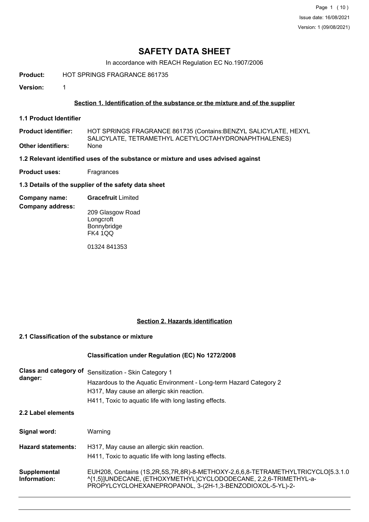Page 1 (10) Issue date: 16/08/2021 Version: 1 (09/08/2021)

# **SAFETY DATA SHEET**

In accordance with REACH Regulation EC No.1907/2006

**Product:** HOT SPRINGS FRAGRANCE 861735

**Version:** 1

## **Section 1. Identification of the substance or the mixture and of the supplier**

**1.1 Product Identifier**

HOT SPRINGS FRAGRANCE 861735 (Contains:BENZYL SALICYLATE, HEXYL SALICYLATE, TETRAMETHYL ACETYLOCTAHYDRONAPHTHALENES) **Product identifier: Other identifiers:** 

**1.2 Relevant identified uses of the substance or mixture and uses advised against**

**Product uses:** Fragrances

**1.3 Details of the supplier of the safety data sheet**

**Company name: Gracefruit** Limited

**Company address:**

209 Glasgow Road **Longcroft** Bonnybridge FK4 1QQ

01324 841353

#### **Section 2. Hazards identification**

# **2.1 Classification of the substance or mixture**

#### **Classification under Regulation (EC) No 1272/2008**

| Class and category of<br>danger: | Sensitization - Skin Category 1<br>Hazardous to the Aquatic Environment - Long-term Hazard Category 2<br>H317, May cause an allergic skin reaction.<br>H411, Toxic to aquatic life with long lasting effects.    |
|----------------------------------|------------------------------------------------------------------------------------------------------------------------------------------------------------------------------------------------------------------|
| 2.2 Label elements               |                                                                                                                                                                                                                  |
| Signal word:                     | Warning                                                                                                                                                                                                          |
| <b>Hazard statements:</b>        | H317, May cause an allergic skin reaction.<br>H411, Toxic to aquatic life with long lasting effects.                                                                                                             |
| Supplemental<br>Information:     | EUH208, Contains (1S,2R,5S,7R,8R)-8-METHOXY-2,6,6,8-TETRAMETHYLTRICYCLO[5.3.1.0<br>^{1,5}]UNDECANE, (ETHOXYMETHYL)CYCLODODECANE, 2,2,6-TRIMETHYL-a-<br>PROPYLCYCLOHEXANEPROPANOL, 3-(2H-1,3-BENZODIOXOL-5-YL)-2- |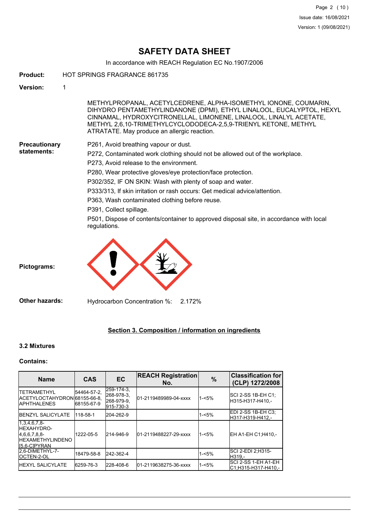# **SAFETY DATA SHEET**

In accordance with REACH Regulation EC No.1907/2006

- **Product:** HOT SPRINGS FRAGRANCE 861735 **Version:** 1 METHYLPROPANAL, ACETYLCEDRENE, ALPHA-ISOMETHYL IONONE, COUMARIN, DIHYDRO PENTAMETHYLINDANONE (DPMI), ETHYL LINALOOL, EUCALYPTOL, HEXYL CINNAMAL, HYDROXYCITRONELLAL, LIMONENE, LINALOOL, LINALYL ACETATE, METHYL 2,6,10-TRIMETHYLCYCLODODECA-2,5,9-TRIENYL KETONE, METHYL ATRATATE. May produce an allergic reaction. **Precautionary statements:** P261, Avoid breathing vapour or dust. P272, Contaminated work clothing should not be allowed out of the workplace. P273, Avoid release to the environment. P280, Wear protective gloves/eye protection/face protection. P302/352, IF ON SKIN: Wash with plenty of soap and water. P333/313, If skin irritation or rash occurs: Get medical advice/attention.
	- P363, Wash contaminated clothing before reuse.
	- P391, Collect spillage.

P501, Dispose of contents/container to approved disposal site, in accordance with local regulations.



**Pictograms:**

**Other hazards:** Hydrocarbon Concentration %: 2.172%

#### **Section 3. Composition / information on ingredients**

#### **3.2 Mixtures**

## **Contains:**

| <b>Name</b>                                                                                        | <b>CAS</b>                 | <b>EC</b>                                           | <b>REACH Registration</b><br>No. | $\frac{9}{6}$ | <b>Classification for</b><br>(CLP) 1272/2008 |
|----------------------------------------------------------------------------------------------------|----------------------------|-----------------------------------------------------|----------------------------------|---------------|----------------------------------------------|
| <b>ITETRAMETHYL</b><br>ACETYLOCTAHYDRON 68155-66-8.<br><b>IAPHTHALENES</b>                         | 54464-57-2,<br> 68155-67-9 | 259-174-3.<br>268-978-3,<br>268-979-9.<br>915-730-3 | 01-2119489989-04-xxxx            | $1 - 5%$      | SCI 2-SS 1B-EH C1:<br>H315-H317-H410.-       |
| <b>IBENZYL SALICYLATE</b>                                                                          | 118-58-1                   | 204-262-9                                           |                                  | $1 - 5%$      | IEDI 2-SS 1B-EH C3:<br>H317-H319-H412.-      |
| $1,3,4,6,7,8$ -<br><b>IHEXAHYDRO-</b><br>4.6.6.7.8.8-<br><b>IHEXAMETHYLINDENO</b><br>II5.6-CIPYRAN | 1222-05-5                  | 214-946-9                                           | 01-2119488227-29-xxxx            | $1 - 5%$      | EH A1-EH C1:H410.-                           |
| I2.6-DIMETHYL-7-<br><b>IOCTEN-2-OL</b>                                                             | 18479-58-8                 | 242-362-4                                           |                                  | $1 - 5%$      | ISCI 2-EDI 2:H315-<br>IH319.-                |
| <b>IHEXYL SALICYLATE</b>                                                                           | 6259-76-3                  | 228-408-6                                           | 01-2119638275-36-xxxx            | $1 - 5%$      | ISCI 2-SS 1-EH A1-EH<br>IC1:H315-H317-H410.- |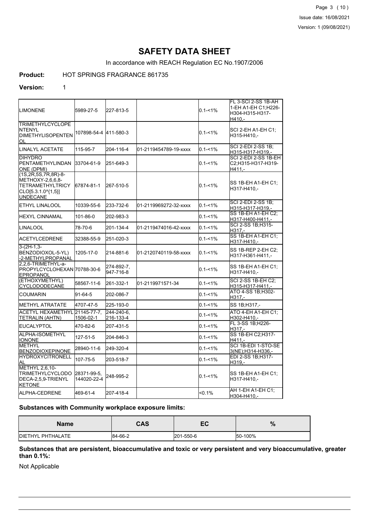Page 3 (10) Issue date: 16/08/2021 Version: 1 (09/08/2021)

# **SAFETY DATA SHEET**

In accordance with REACH Regulation EC No.1907/2006

# **Product:** HOT SPRINGS FRAGRANCE 861735

#### **Version:** 1

| <b>I</b> LIMONENE                                                                                                    | 5989-27-5                  | 227-813-5               |                       | $0.1 - 1\%$ | FL 3-SCI 2-SS 1B-AH<br>1-EH A1-EH C1;H226-<br>H304-H315-H317-<br>H410.- |
|----------------------------------------------------------------------------------------------------------------------|----------------------------|-------------------------|-----------------------|-------------|-------------------------------------------------------------------------|
| <b>TRIMETHYLCYCLOPE</b><br>INTENYL<br>DIMETHYLISOPENTEN<br>OL                                                        | 107898-54-4 411-580-3      |                         |                       | $0.1 - 1\%$ | SCI 2-EH A1-EH C1:<br>H315-H410,-                                       |
| LINALYL ACETATE                                                                                                      | 115-95-7                   | 204-116-4               | 01-2119454789-19-xxxx | $0.1 - 1\%$ | SCI 2-EDI 2-SS 1B;<br>H315-H317-H319,-                                  |
| <b>DIHYDRO</b><br>IPENTAMETHYLINDAN<br>ONE (DPMI)                                                                    | 33704-61-9                 | 251-649-3               |                       | $0.1 - 1\%$ | SCI 2-EDI 2-SS 1B-EH<br>C2;H315-H317-H319-<br>H411,-                    |
| $(1S, 2R, 5S, 7R, 8R) - 8 -$<br>METHOXY-2.6.6.8-<br><b>TETRAMETHYLTRICY</b><br>CLO[5.3.1.0^{1,5}]<br><b>UNDECANE</b> | 167874-81-1                | 267-510-5               |                       | $0.1 - 1\%$ | SS 1B-EH A1-EH C1:<br>H317-H410,-                                       |
| <b>IETHYL LINALOOL</b>                                                                                               | 10339-55-6                 | 233-732-6               | 01-2119969272-32-xxxx | $0.1 - 1\%$ | SCI 2-EDI 2-SS 1B:<br>H315-H317-H319,-                                  |
| IHEXYL CINNAMAL                                                                                                      | 101-86-0                   | 202-983-3               |                       | $0.1 - 1\%$ | <b>SS 1B-EH A1-EH C2:</b><br>H317-H400-H411,-                           |
| LINALOOL                                                                                                             | 78-70-6                    | 201-134-4               | 01-2119474016-42-xxxx | $0.1 - 1\%$ | SCI 2-SS 1B;H315-<br>H317.-                                             |
| ACETYLCEDRENE                                                                                                        | 32388-55-9                 | 251-020-3               |                       | $0.1 - 1\%$ | SS 1B-EH A1-EH C1;<br>H317-H410,-                                       |
| 3-(2H-1,3-<br>BENZODIOXOL-5-YL)<br>2-METHYLPROPANAL                                                                  | 1205-17-0                  | 214-881-6               | 01-2120740119-58-xxxx | $0.1 - 1\%$ | SS 1B-REP 2-EH C2;<br>H317-H361-H411,-                                  |
| 2.2.6-TRIMETHYL-a-<br>PROPYLCYCLOHEXAN 70788-30-6<br>EPROPANOL                                                       |                            | 274-892-7,<br>947-716-8 |                       | $0.1 - 1\%$ | SS 1B-EH A1-EH C1;<br>H317-H410,-                                       |
| (ETHOXYMETHYL)<br><b>CYCLODODECANE</b>                                                                               | 58567-11-6                 | 261-332-1               | 01-2119971571-34      | $0.1 - 1\%$ | <b>SCI 2-SS 1B-EH C2;</b><br>H315-H317-H411,-                           |
| <b>COUMARIN</b>                                                                                                      | 91-64-5                    | 202-086-7               |                       | $0.1 - 1\%$ | ATO 4-SS 1B:H302-<br>H317.-                                             |
| <b>I</b> METHYL ATRATATE                                                                                             | 4707-47-5                  | 225-193-0               |                       | $0.1 - 1%$  | SS 1B; H317,-                                                           |
| ACETYL HEXAMETHYL 21145-77-7.<br>(TETRALIN (AHTN                                                                     | 1506-02-1                  | 244-240-6.<br>216-133-4 |                       | $0.1 - 1\%$ | ATO 4-EH A1-EH C1;<br>H302-H410,-                                       |
| <b>EUCALYPTOL</b>                                                                                                    | 470-82-6                   | 207-431-5               |                       | $0.1 - 1\%$ | FL 3-SS 1B;H226-<br>H317.-                                              |
| ALPHA-ISOMETHYL<br><b>IONONE</b>                                                                                     | 127-51-5                   | 204-846-3               |                       | $0.1 - 1\%$ | SS 1B-EH C2; H317-<br>$H411. -$                                         |
| IMETHYL<br><b>BENZODIOXEPINONE</b>                                                                                   | 28940-11-6                 | 249-320-4               |                       | $0.1 - 1\%$ | SCI 1B-EDI 1-STO-SE<br>3(NE);H314-H336,-                                |
| <b>HYDROXYCITRONELL</b><br>lal                                                                                       | 107-75-5                   | 203-518-7               |                       | $0.1 - 1\%$ | EDI 2-SS 1B; H317-<br>H319,-                                            |
| METHYL 2,6,10-<br>TRIMETHYLCYCLODO<br>DECA-2,5,9-TRIENYL<br><b>KETONE</b>                                            | 28371-99-5,<br>144020-22-4 | 248-995-2               |                       | $0.1 - 1\%$ | SS 1B-EH A1-EH C1:<br>H317-H410,-                                       |
| ALPHA-CEDRENE                                                                                                        | 469-61-4                   | 207-418-4               |                       | $< 0.1\%$   | AH 1-EH A1-EH C1:<br>H304-H410,-                                        |

#### **Substances with Community workplace exposure limits:**

| Name                      | <b>CAS</b> | -0<br>cv  | $\overline{0}$ |
|---------------------------|------------|-----------|----------------|
| <b>IDIETHYL PHTHALATE</b> | 84-66-2    | 201-550-6 | 50-100%        |

**Substances that are persistent, bioaccumulative and toxic or very persistent and very bioaccumulative, greater than 0.1%:**

Not Applicable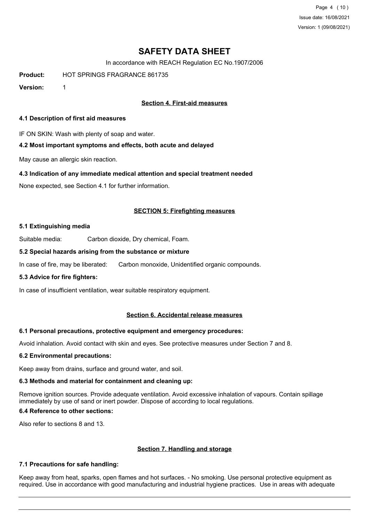Page 4 (10) Issue date: 16/08/2021 Version: 1 (09/08/2021)

# **SAFETY DATA SHEET**

In accordance with REACH Regulation EC No.1907/2006

**Product:** HOT SPRINGS FRAGRANCE 861735

**Version:** 1

## **Section 4. First-aid measures**

#### **4.1 Description of first aid measures**

IF ON SKIN: Wash with plenty of soap and water.

#### **4.2 Most important symptoms and effects, both acute and delayed**

May cause an allergic skin reaction.

#### **4.3 Indication of any immediate medical attention and special treatment needed**

None expected, see Section 4.1 for further information.

#### **SECTION 5: Firefighting measures**

#### **5.1 Extinguishing media**

Suitable media: Carbon dioxide, Dry chemical, Foam.

#### **5.2 Special hazards arising from the substance or mixture**

In case of fire, may be liberated: Carbon monoxide, Unidentified organic compounds.

#### **5.3 Advice for fire fighters:**

In case of insufficient ventilation, wear suitable respiratory equipment.

#### **Section 6. Accidental release measures**

#### **6.1 Personal precautions, protective equipment and emergency procedures:**

Avoid inhalation. Avoid contact with skin and eyes. See protective measures under Section 7 and 8.

#### **6.2 Environmental precautions:**

Keep away from drains, surface and ground water, and soil.

#### **6.3 Methods and material for containment and cleaning up:**

Remove ignition sources. Provide adequate ventilation. Avoid excessive inhalation of vapours. Contain spillage immediately by use of sand or inert powder. Dispose of according to local regulations.

## **6.4 Reference to other sections:**

Also refer to sections 8 and 13.

#### **Section 7. Handling and storage**

#### **7.1 Precautions for safe handling:**

Keep away from heat, sparks, open flames and hot surfaces. - No smoking. Use personal protective equipment as required. Use in accordance with good manufacturing and industrial hygiene practices. Use in areas with adequate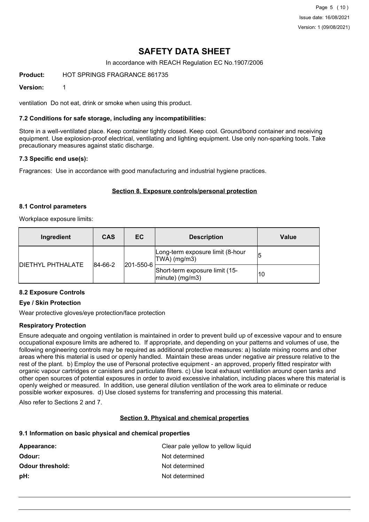Page 5 (10) Issue date: 16/08/2021 Version: 1 (09/08/2021)

# **SAFETY DATA SHEET**

In accordance with REACH Regulation EC No.1907/2006

**Product:** HOT SPRINGS FRAGRANCE 861735

#### **Version:** 1

ventilation Do not eat, drink or smoke when using this product.

#### **7.2 Conditions for safe storage, including any incompatibilities:**

Store in a well-ventilated place. Keep container tightly closed. Keep cool. Ground/bond container and receiving equipment. Use explosion-proof electrical, ventilating and lighting equipment. Use only non-sparking tools. Take precautionary measures against static discharge.

#### **7.3 Specific end use(s):**

Fragrances: Use in accordance with good manufacturing and industrial hygiene practices.

#### **Section 8. Exposure controls/personal protection**

#### **8.1 Control parameters**

Workplace exposure limits:

| Ingredient                | <b>CAS</b>           | EC | <b>Description</b>                                    | Value |
|---------------------------|----------------------|----|-------------------------------------------------------|-------|
| <b>IDIETHYL PHTHALATE</b> | 201-550-6<br>84-66-2 |    | Long-term exposure limit (8-hour<br>TWA) (mg/m3)      | 15    |
|                           |                      |    | Short-term exposure limit (15-<br>$ $ minute) (mg/m3) | 10    |

## **8.2 Exposure Controls**

## **Eye / Skin Protection**

Wear protective gloves/eye protection/face protection

#### **Respiratory Protection**

Ensure adequate and ongoing ventilation is maintained in order to prevent build up of excessive vapour and to ensure occupational exposure limits are adhered to. If appropriate, and depending on your patterns and volumes of use, the following engineering controls may be required as additional protective measures: a) Isolate mixing rooms and other areas where this material is used or openly handled. Maintain these areas under negative air pressure relative to the rest of the plant. b) Employ the use of Personal protective equipment - an approved, properly fitted respirator with organic vapour cartridges or canisters and particulate filters. c) Use local exhaust ventilation around open tanks and other open sources of potential exposures in order to avoid excessive inhalation, including places where this material is openly weighed or measured. In addition, use general dilution ventilation of the work area to eliminate or reduce possible worker exposures. d) Use closed systems for transferring and processing this material.

Also refer to Sections 2 and 7.

## **Section 9. Physical and chemical properties**

#### **9.1 Information on basic physical and chemical properties**

| Appearance:             | Clear pale yellow to yellow liquid |
|-------------------------|------------------------------------|
| Odour:                  | Not determined                     |
| <b>Odour threshold:</b> | Not determined                     |
| pH:                     | Not determined                     |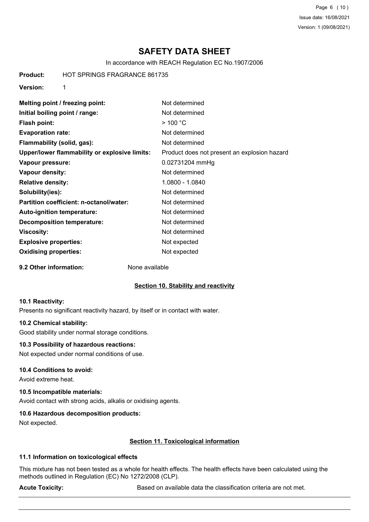Page 6 (10) Issue date: 16/08/2021 Version: 1 (09/08/2021)

# **SAFETY DATA SHEET**

In accordance with REACH Regulation EC No.1907/2006

**Product:** HOT SPRINGS FRAGRANCE 861735

**Version:** 1

| Melting point / freezing point:               | Not determined                               |
|-----------------------------------------------|----------------------------------------------|
| Initial boiling point / range:                | Not determined                               |
| Flash point:                                  | $>$ 100 °C                                   |
| <b>Evaporation rate:</b>                      | Not determined                               |
| Flammability (solid, gas):                    | Not determined                               |
| Upper/lower flammability or explosive limits: | Product does not present an explosion hazard |
| Vapour pressure:                              | 0.02731204 mmHg                              |
| Vapour density:                               | Not determined                               |
| <b>Relative density:</b>                      | 1.0800 - 1.0840                              |
| Solubility(ies):                              | Not determined                               |
| Partition coefficient: n-octanol/water:       | Not determined                               |
| Auto-ignition temperature:                    | Not determined                               |
| <b>Decomposition temperature:</b>             | Not determined                               |
| <b>Viscosity:</b>                             | Not determined                               |
| <b>Explosive properties:</b>                  | Not expected                                 |
| <b>Oxidising properties:</b>                  | Not expected                                 |

**9.2 Other information:** None available

#### **Section 10. Stability and reactivity**

#### **10.1 Reactivity:**

Presents no significant reactivity hazard, by itself or in contact with water.

#### **10.2 Chemical stability:**

Good stability under normal storage conditions.

### **10.3 Possibility of hazardous reactions:**

Not expected under normal conditions of use.

#### **10.4 Conditions to avoid:**

Avoid extreme heat.

### **10.5 Incompatible materials:**

Avoid contact with strong acids, alkalis or oxidising agents.

#### **10.6 Hazardous decomposition products:**

Not expected.

#### **Section 11. Toxicological information**

#### **11.1 Information on toxicological effects**

This mixture has not been tested as a whole for health effects. The health effects have been calculated using the methods outlined in Regulation (EC) No 1272/2008 (CLP).

Acute Toxicity: **Acute Toxicity:** Based on available data the classification criteria are not met.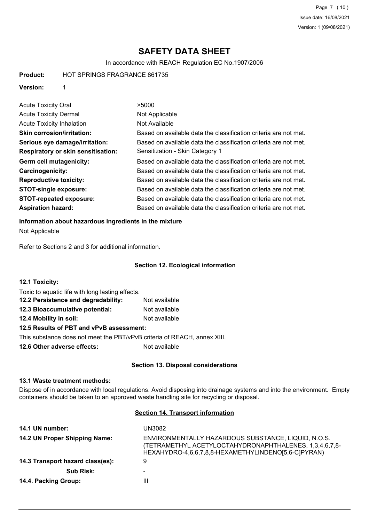Page 7 (10) Issue date: 16/08/2021 Version: 1 (09/08/2021)

# **SAFETY DATA SHEET**

In accordance with REACH Regulation EC No.1907/2006

**Product:** HOT SPRINGS FRAGRANCE 861735

**Version:** 1

| <b>Acute Toxicity Oral</b>         | >5000                                                            |
|------------------------------------|------------------------------------------------------------------|
| <b>Acute Toxicity Dermal</b>       | Not Applicable                                                   |
| <b>Acute Toxicity Inhalation</b>   | Not Available                                                    |
| <b>Skin corrosion/irritation:</b>  | Based on available data the classification criteria are not met. |
| Serious eye damage/irritation:     | Based on available data the classification criteria are not met. |
| Respiratory or skin sensitisation: | Sensitization - Skin Category 1                                  |
| Germ cell mutagenicity:            | Based on available data the classification criteria are not met. |
| Carcinogenicity:                   | Based on available data the classification criteria are not met. |
| <b>Reproductive toxicity:</b>      | Based on available data the classification criteria are not met. |
| <b>STOT-single exposure:</b>       | Based on available data the classification criteria are not met. |
| <b>STOT-repeated exposure:</b>     | Based on available data the classification criteria are not met. |
| <b>Aspiration hazard:</b>          | Based on available data the classification criteria are not met. |

#### **Information about hazardous ingredients in the mixture**

Not Applicable

Refer to Sections 2 and 3 for additional information.

## **Section 12. Ecological information**

| <b>12.1 Toxicity:</b>                                                    |               |
|--------------------------------------------------------------------------|---------------|
| Toxic to aquatic life with long lasting effects.                         |               |
| 12.2 Persistence and degradability:                                      | Not available |
| 12.3 Bioaccumulative potential:                                          | Not available |
| 12.4 Mobility in soil:                                                   | Not available |
| 12.5 Results of PBT and vPvB assessment:                                 |               |
| This substance does not meet the PBT/vPvB criteria of REACH, annex XIII. |               |
|                                                                          |               |

**12.6 Other adverse effects:** Not available

## **Section 13. Disposal considerations**

#### **13.1 Waste treatment methods:**

Dispose of in accordance with local regulations. Avoid disposing into drainage systems and into the environment. Empty containers should be taken to an approved waste handling site for recycling or disposal.

## **Section 14. Transport information**

| 14.1 UN number:                  | UN3082                                                                                                                                                               |
|----------------------------------|----------------------------------------------------------------------------------------------------------------------------------------------------------------------|
| 14.2 UN Proper Shipping Name:    | ENVIRONMENTALLY HAZARDOUS SUBSTANCE, LIQUID, N.O.S.<br>(TETRAMETHYL ACETYLOCTAHYDRONAPHTHALENES, 1,3,4,6,7,8-<br>HEXAHYDRO-4,6,6,7,8,8-HEXAMETHYLINDENO[5,6-C]PYRAN) |
| 14.3 Transport hazard class(es): | 9                                                                                                                                                                    |
| <b>Sub Risk:</b>                 | $\overline{\phantom{0}}$                                                                                                                                             |
| 14.4. Packing Group:             | Ш                                                                                                                                                                    |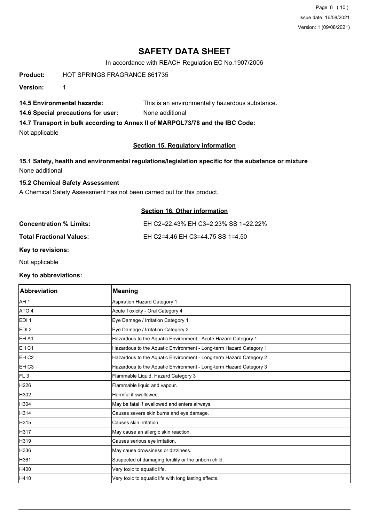Page 8 (10) Issue date: 16/08/2021 Version: 1 (09/08/2021)

# **SAFETY DATA SHEET**

In accordance with REACH Regulation EC No.1907/2006

**Product:** HOT SPRINGS FRAGRANCE 861735

**Version:** 1

**14.5 Environmental hazards:** This is an environmentally hazardous substance.

**14.6 Special precautions for user:** None additional

**14.7 Transport in bulk according to Annex II of MARPOL73/78 and the IBC Code:**

Not applicable

## **Section 15. Regulatory information**

**15.1 Safety, health and environmental regulations/legislation specific for the substance or mixture** None additional

#### **15.2 Chemical Safety Assessment**

A Chemical Safety Assessment has not been carried out for this product.

## **Section 16. Other information**

| <b>Concentration % Limits:</b>  | EH C2=22.43% EH C3=2.23% SS 1=22.22% |
|---------------------------------|--------------------------------------|
| <b>Total Fractional Values:</b> | EH C2=4.46 EH C3=44.75 SS 1=4.50     |

**Key to revisions:**

Not applicable

**Key to abbreviations:**

| <b>Abbreviation</b> | <b>Meaning</b>                                                     |
|---------------------|--------------------------------------------------------------------|
| AH 1                | <b>Aspiration Hazard Category 1</b>                                |
| ATO 4               | Acute Toxicity - Oral Category 4                                   |
| EDI <sub>1</sub>    | Eye Damage / Irritation Category 1                                 |
| EDI <sub>2</sub>    | Eye Damage / Irritation Category 2                                 |
| EH A1               | Hazardous to the Aquatic Environment - Acute Hazard Category 1     |
| EH <sub>C1</sub>    | Hazardous to the Aquatic Environment - Long-term Hazard Category 1 |
| EH <sub>C2</sub>    | Hazardous to the Aquatic Environment - Long-term Hazard Category 2 |
| EH <sub>C3</sub>    | Hazardous to the Aquatic Environment - Long-term Hazard Category 3 |
| FL <sub>3</sub>     | Flammable Liquid, Hazard Category 3                                |
| H226                | Flammable liquid and vapour.                                       |
| H302                | Harmful if swallowed.                                              |
| H304                | May be fatal if swallowed and enters airways.                      |
| H314                | Causes severe skin burns and eye damage.                           |
| H315                | Causes skin irritation.                                            |
| H317                | May cause an allergic skin reaction.                               |
| H319                | Causes serious eye irritation.                                     |
| H336                | May cause drowsiness or dizziness.                                 |
| H361                | Suspected of damaging fertility or the unborn child.               |
| H400                | Very toxic to aquatic life.                                        |
| H410                | Very toxic to aquatic life with long lasting effects.              |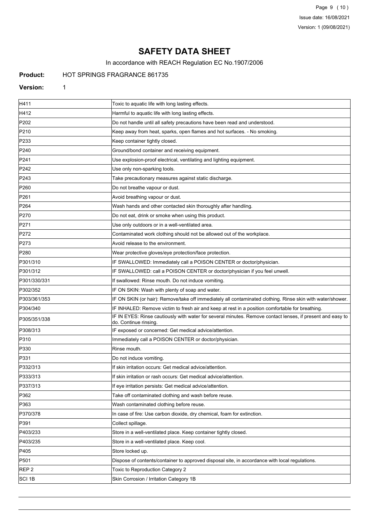Page 9 (10) Issue date: 16/08/2021 Version: 1 (09/08/2021)

# **SAFETY DATA SHEET**

In accordance with REACH Regulation EC No.1907/2006

# **Product:** HOT SPRINGS FRAGRANCE 861735

#### **Version:** 1

| H411             | Toxic to aquatic life with long lasting effects.                                                                                   |
|------------------|------------------------------------------------------------------------------------------------------------------------------------|
| H412             | Harmful to aquatic life with long lasting effects.                                                                                 |
| P202             | Do not handle until all safety precautions have been read and understood.                                                          |
| P210             | Keep away from heat, sparks, open flames and hot surfaces. - No smoking.                                                           |
| P233             | Keep container tightly closed.                                                                                                     |
| P240             | Ground/bond container and receiving equipment.                                                                                     |
| P241             | Use explosion-proof electrical, ventilating and lighting equipment.                                                                |
| P242             | Use only non-sparking tools.                                                                                                       |
| P243             | Take precautionary measures against static discharge.                                                                              |
| P <sub>260</sub> | Do not breathe vapour or dust.                                                                                                     |
| P261             | Avoid breathing vapour or dust.                                                                                                    |
| P <sub>264</sub> | Wash hands and other contacted skin thoroughly after handling.                                                                     |
| P270             | Do not eat, drink or smoke when using this product.                                                                                |
| P271             | Use only outdoors or in a well-ventilated area.                                                                                    |
| P272             | Contaminated work clothing should not be allowed out of the workplace.                                                             |
| P273             | Avoid release to the environment.                                                                                                  |
| P280             | Wear protective gloves/eye protection/face protection.                                                                             |
| P301/310         | IF SWALLOWED: Immediately call a POISON CENTER or doctor/physician.                                                                |
| P301/312         | IF SWALLOWED: call a POISON CENTER or doctor/physician if you feel unwell.                                                         |
| P301/330/331     | If swallowed: Rinse mouth. Do not induce vomiting.                                                                                 |
| P302/352         | IF ON SKIN: Wash with plenty of soap and water.                                                                                    |
| P303/361/353     | IF ON SKIN (or hair): Remove/take off immediately all contaminated clothing. Rinse skin with water/shower.                         |
| P304/340         | IF INHALED: Remove victim to fresh air and keep at rest in a position comfortable for breathing.                                   |
| P305/351/338     | IF IN EYES: Rinse cautiously with water for several minutes. Remove contact lenses, if present and easy to<br>do. Continue rinsing |
| P308/313         | IF exposed or concerned: Get medical advice/attention.                                                                             |
| P310             | Immediately call a POISON CENTER or doctor/physician.                                                                              |
| P330             | Rinse mouth.                                                                                                                       |
| P331             | Do not induce vomiting.                                                                                                            |
| P332/313         | If skin irritation occurs: Get medical advice/attention.                                                                           |
| P333/313         | If skin irritation or rash occurs: Get medical advice/attention.                                                                   |
| P337/313         | If eye irritation persists: Get medical advice/attention.                                                                          |
| P362             | Take off contaminated clothing and wash before reuse.                                                                              |
| P363             | Wash contaminated clothing before reuse.                                                                                           |
| P370/378         | In case of fire: Use carbon dioxide, dry chemical, foam for extinction.                                                            |
| P391             | Collect spillage.                                                                                                                  |
| P403/233         | Store in a well-ventilated place. Keep container tightly closed.                                                                   |
| P403/235         | Store in a well-ventilated place. Keep cool.                                                                                       |
| P405             | Store locked up.                                                                                                                   |
| P501             | Dispose of contents/container to approved disposal site, in accordance with local regulations.                                     |
| REP <sub>2</sub> | Toxic to Reproduction Category 2                                                                                                   |
| SCI 1B           | Skin Corrosion / Irritation Category 1B                                                                                            |